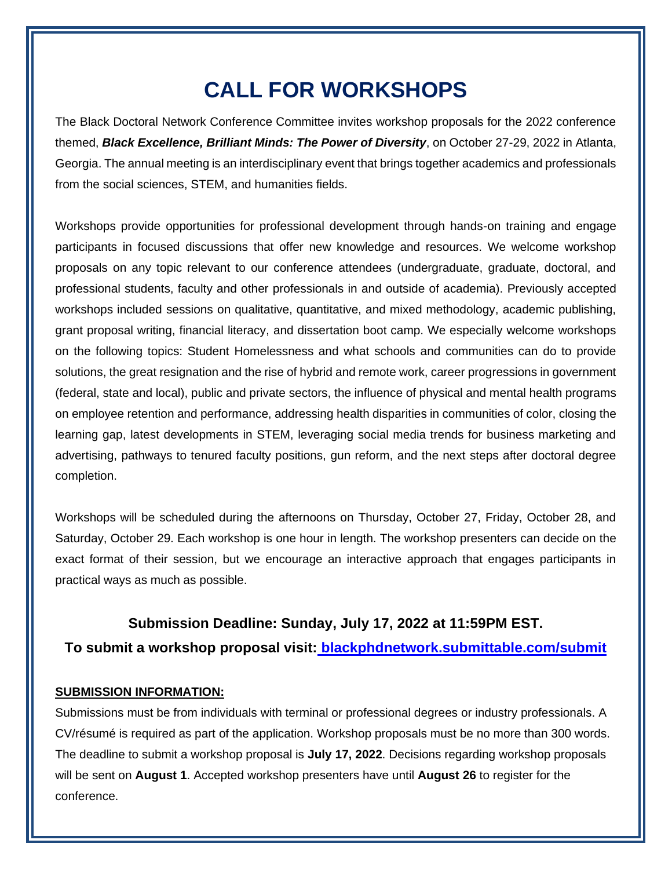## **CALL FOR WORKSHOPS**

The Black Doctoral Network Conference Committee invites workshop proposals for the 2022 conference themed, *Black Excellence, Brilliant Minds: The Power of Diversity*, on October 27-29, 2022 in Atlanta, Georgia. The annual meeting is an interdisciplinary event that brings together academics and professionals from the social sciences, STEM, and humanities fields.

Workshops provide opportunities for professional development through hands-on training and engage participants in focused discussions that offer new knowledge and resources. We welcome workshop proposals on any topic relevant to our conference attendees (undergraduate, graduate, doctoral, and professional students, faculty and other professionals in and outside of academia). Previously accepted workshops included sessions on qualitative, quantitative, and mixed methodology, academic publishing, grant proposal writing, financial literacy, and dissertation boot camp. We especially welcome workshops on the following topics: Student Homelessness and what schools and communities can do to provide solutions, the great resignation and the rise of hybrid and remote work, career progressions in government (federal, state and local), public and private sectors, the influence of physical and mental health programs on employee retention and performance, addressing health disparities in communities of color, closing the learning gap, latest developments in STEM, leveraging social media trends for business marketing and advertising, pathways to tenured faculty positions, gun reform, and the next steps after doctoral degree completion.

Workshops will be scheduled during the afternoons on Thursday, October 27, Friday, October 28, and Saturday, October 29. Each workshop is one hour in length. The workshop presenters can decide on the exact format of their session, but we encourage an interactive approach that engages participants in practical ways as much as possible.

## **Submission Deadline: Sunday, July 17, 2022 at 11:59PM EST.**

**To submit a workshop proposal visit: [blackphdnetwork.submittable.com/submit](http://blackphdnetwork.submittable.com/submit)**

## **SUBMISSION INFORMATION:**

Submissions must be from individuals with terminal or professional degrees or industry professionals. A CV/résumé is required as part of the application. Workshop proposals must be no more than 300 words. The deadline to submit a workshop proposal is **July 17, 2022**. Decisions regarding workshop proposals will be sent on **August 1**. Accepted workshop presenters have until **August 26** to register for the conference.